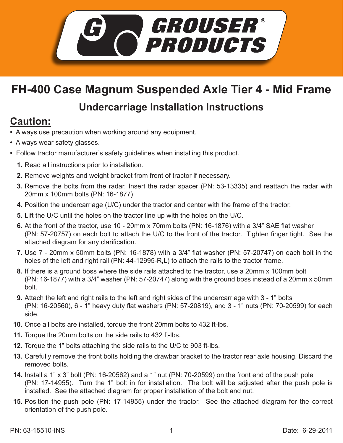

## **FH-400 Case Magnum Suspended Axle Tier 4 - Mid Frame**

## **Undercarriage Installation Instructions**

## **Caution:**

- Always use precaution when working around any equipment.
- Always wear safety glasses.
- Follow tractor manufacturer's safety guidelines when installing this product.
	- **1.** Read all instructions prior to installation.
	- 2. Remove weights and weight bracket from front of tractor if necessary.
	- **3.** Remove the bolts from the radar. Insert the radar spacer (PN: 53-13335) and reattach the radar with 20mm x 100mm bolts (PN: 16-1877)
	- **4.** Position the undercarriage (U/C) under the tractor and center with the frame of the tractor.
	- **5.** Lift the U/C until the holes on the tractor line up with the holes on the U/C.
	- **6.** At the front of the tractor, use 10 20mm x 70mm bolts (PN: 16-1876) with a 3/4" SAE flat washer (PN: 57-20757) on each bolt to attach the U/C to the front of the tractor. Tighten finger tight. See the attached diagram for any clarification.
	- Use 7 20mm x 50mm bolts (PN: 16-1878) with a 3/4" flat washer (PN: 57-20747) on each bolt in the **7.** holes of the left and right rail (PN: 44-12995-R,L) to attach the rails to the tractor frame.
	- If there is a ground boss where the side rails attached to the tractor, use a 20mm x 100mm bolt **8.** (PN: 16-1877) with a 3/4" washer (PN: 57-20747) along with the ground boss instead of a 20mm x 50mm bolt.
	- **9.** Attach the left and right rails to the left and right sides of the undercarriage with 3 1" bolts (PN: 16-20560), 6 - 1" heavy duty flat washers (PN: 57-20819), and 3 - 1" nuts (PN: 70-20599) for each side.
	- **10.** Once all bolts are installed, torque the front 20mm bolts to 432 ft-lbs.
	- **11.** Torque the 20mm bolts on the side rails to 432 ft-lbs.
	- **12.** Torque the 1" bolts attaching the side rails to the U/C to 903 ft-lbs.
	- 13. Carefully remove the front bolts holding the drawbar bracket to the tractor rear axle housing. Discard the removed bolts.
- **14.** Install a 1" x 3" bolt (PN: 16-20562) and a 1" nut (PN: 70-20599) on the front end of the push pole (PN: 17-14955). Turn the 1" bolt in for installation. The bolt will be adjusted after the push pole is installed. See the attached diagram for proper installation of the bolt and nut.
- **15.** Position the push pole (PN: 17-14955) under the tractor. See the attached diagram for the correct orientation of the push pole.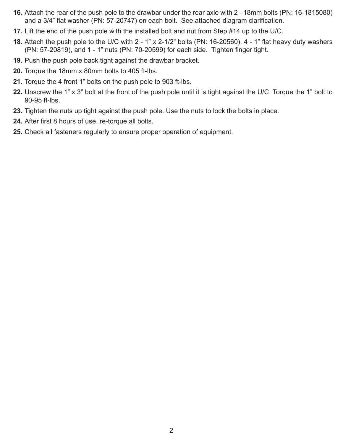- Attach the rear of the push pole to the drawbar under the rear axle with 2 18mm bolts (PN: 16-1815080) **16.** and a 3/4" flat washer (PN: 57-20747) on each bolt. See attached diagram clarification.
- **17.** Lift the end of the push pole with the installed bolt and nut from Step #14 up to the U/C.
- Attach the push pole to the U/C with 2 1" x 2-1/2" bolts (PN: 16-20560), 4 1" flat heavy duty washers **18.** (PN: 57-20819), and 1 - 1" nuts (PN: 70-20599) for each side. Tighten finger tight.
- **19.** Push the push pole back tight against the drawbar bracket.
- **20.** Torque the 18mm x 80mm bolts to 405 ft-lbs.
- **21.** Torque the 4 front 1" bolts on the push pole to 903 ft-lbs.
- Unscrew the 1" x 3" bolt at the front of the push pole until it is tight against the U/C. Torque the 1" bolt to **22.** 90-95 ft-lbs.
- **23.** Tighten the nuts up tight against the push pole. Use the nuts to lock the bolts in place.
- 24. After first 8 hours of use, re-torque all bolts.
- 25. Check all fasteners regularly to ensure proper operation of equipment.